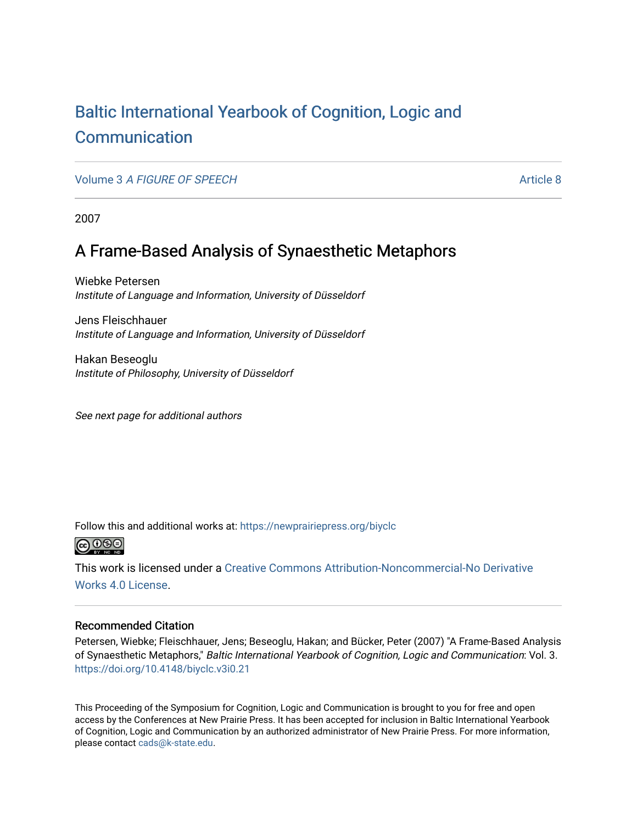# [Baltic International Yearbook of Cognition, Logic and](https://newprairiepress.org/biyclc)  **[Communication](https://newprairiepress.org/biyclc)**

Volume 3 [A FIGURE OF SPEECH](https://newprairiepress.org/biyclc/vol3) Article 8

2007

# A Frame-Based Analysis of Synaesthetic Metaphors

Wiebke Petersen Institute of Language and Information, University of Düsseldorf

Jens Fleischhauer Institute of Language and Information, University of Düsseldorf

Hakan Beseoglu Institute of Philosophy, University of Düsseldorf

See next page for additional authors

Follow this and additional works at: [https://newprairiepress.org/biyclc](https://newprairiepress.org/biyclc?utm_source=newprairiepress.org%2Fbiyclc%2Fvol3%2Fiss1%2F8&utm_medium=PDF&utm_campaign=PDFCoverPages) 



This work is licensed under a [Creative Commons Attribution-Noncommercial-No Derivative](https://creativecommons.org/licenses/by-nc-nd/4.0/)  [Works 4.0 License](https://creativecommons.org/licenses/by-nc-nd/4.0/).

## Recommended Citation

Petersen, Wiebke; Fleischhauer, Jens; Beseoglu, Hakan; and Bücker, Peter (2007) "A Frame-Based Analysis of Synaesthetic Metaphors," Baltic International Yearbook of Cognition, Logic and Communication: Vol. 3. <https://doi.org/10.4148/biyclc.v3i0.21>

This Proceeding of the Symposium for Cognition, Logic and Communication is brought to you for free and open access by the Conferences at New Prairie Press. It has been accepted for inclusion in Baltic International Yearbook of Cognition, Logic and Communication by an authorized administrator of New Prairie Press. For more information, please contact [cads@k-state.edu.](mailto:cads@k-state.edu)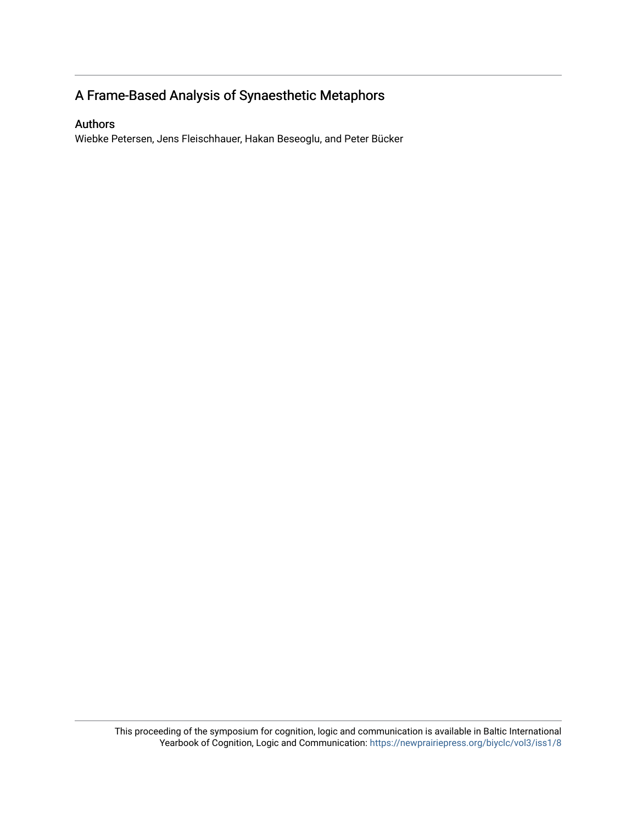# A Frame-Based Analysis of Synaesthetic Metaphors

## Authors

Wiebke Petersen, Jens Fleischhauer, Hakan Beseoglu, and Peter Bücker

This proceeding of the symposium for cognition, logic and communication is available in Baltic International Yearbook of Cognition, Logic and Communication: <https://newprairiepress.org/biyclc/vol3/iss1/8>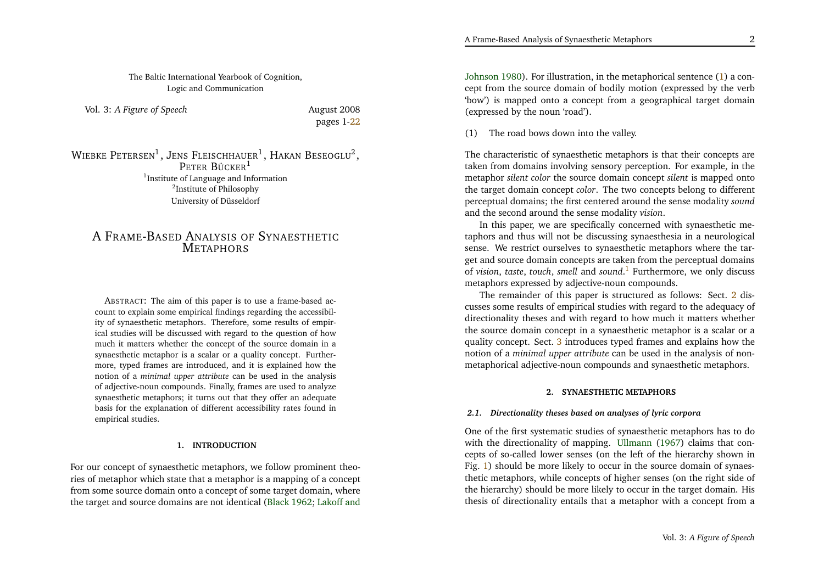<span id="page-2-1"></span>The Baltic International Yearbook of Cognition, Logic and Communication

Vol. 3: *<sup>A</sup> Figure of Speech*

<span id="page-2-2"></span> August <sup>2008</sup>pages 1[-22](#page-12-0)

WIEBKE  $\mathrm{PETERsen}^1,$  Jens Fleischhauer $^1,$  Hakan Beseoglu $^2,$ Peter Bücker<sup>1</sup> <sup>1</sup>Institute of Language and Information<sup>2</sup>Institute of PhilosophyUniversity of Düsseldorf

## A FRAME-BASED ANALYSIS OF SYNAESTHETIC **METAPHORS**

ABSTRACT: The aim of this paper is to use <sup>a</sup> frame-based account to explain some empirical findings regarding the accessibility of synaesthetic metaphors. Therefore, some results of empirical studies will be discussed with regard to the question of how much it matters whether the concep<sup>t</sup> of the source domain in <sup>a</sup> synaesthetic metaphor is <sup>a</sup> scalar or <sup>a</sup> quality concept. Furthermore, typed frames are introduced, and it is explained how the notion of <sup>a</sup> *minimal upper attribute* can be used in the analysis of adjective-noun compounds. Finally, frames are used to analyze synaesthetic metaphors; it turns out that they offer an adequate basis for the explanation of different accessibility rates found inempirical studies.

#### **1. INTRODUCTION**

For our concep<sup>t</sup> of synaesthetic metaphors, we follow prominent theories of metaphor which state that <sup>a</sup> metaphor is <sup>a</sup> mapping of <sup>a</sup> concep<sup>t</sup> from some source domain onto <sup>a</sup> concep<sup>t</sup> of some target domain, wherethe target and source domains are not identical [\(Black](#page-11-0) [1962](#page-11-0); Lakoff and

<span id="page-2-0"></span>Johnson [1980](#page-11-1)). For illustration, in the metaphorical sentence [\(1\)](#page-2-0) <sup>a</sup> concep<sup>t</sup> from the source domain of bodily motion (expressed by the verb 'bow') is mapped onto <sup>a</sup> concep<sup>t</sup> from <sup>a</sup> geographical target domain(expressed by the noun 'road').

(1) The road bows down into the valley.

The characteristic of synaesthetic metaphors is that their concepts are taken from domains involving sensory perception. For example, in the metaphor *silent color* the source domain concep<sup>t</sup> *silent* is mapped onto the target domain concep<sup>t</sup> *color*. The two concepts belong to different perceptual domains; the first centered around the sense modality *sound*and the second around the sense modality *vision*.

In this paper, we are specifically concerned with synaesthetic metaphors and thus will not be discussing synaesthesia in <sup>a</sup> neurological sense. We restrict ourselves to synaesthetic metaphors where the targe<sup>t</sup> and source domain concepts are taken from the perceptual domains of *vision*, *taste*, *touch*, *smell* and *sound*.[1](#page-10-0) Furthermore, we only discuss metaphors expressed by adjective-noun compounds.

The remainder of this paper is structured as follows: Sect. [2](#page-2-1) discusses some results of empirical studies with regard to the adequacy of directionality theses and with regard to how much it matters whether the source domain concep<sup>t</sup> in <sup>a</sup> synaesthetic metaphor is <sup>a</sup> scalar or <sup>a</sup> quality concept. Sect. [3](#page-5-0) introduces typed frames and explains how the notion of <sup>a</sup> *minimal upper attribute* can be used in the analysis of nonmetaphorical adjective-noun compounds and synaesthetic metaphors.

#### **2. SYNAESTHETIC METAPHORS**

#### *2.1. Directionality theses based on analyses of lyric corpora*

One of the first systematic studies of synaesthetic metaphors has to do with the directionality of mapping. [Ullmann](#page-11-2) [\(1967](#page-11-2)) claims that concepts of so-called lower senses (on the left of the hierarchy shown in Fig. [1\)](#page-3-0) should be more likely to occur in the source domain of synaes thetic metaphors, while concepts of higher senses (on the right side of the hierarchy) should be more likely to occur in the target domain. Histhesis of directionality entails that <sup>a</sup> metaphor with <sup>a</sup> concep<sup>t</sup> from <sup>a</sup>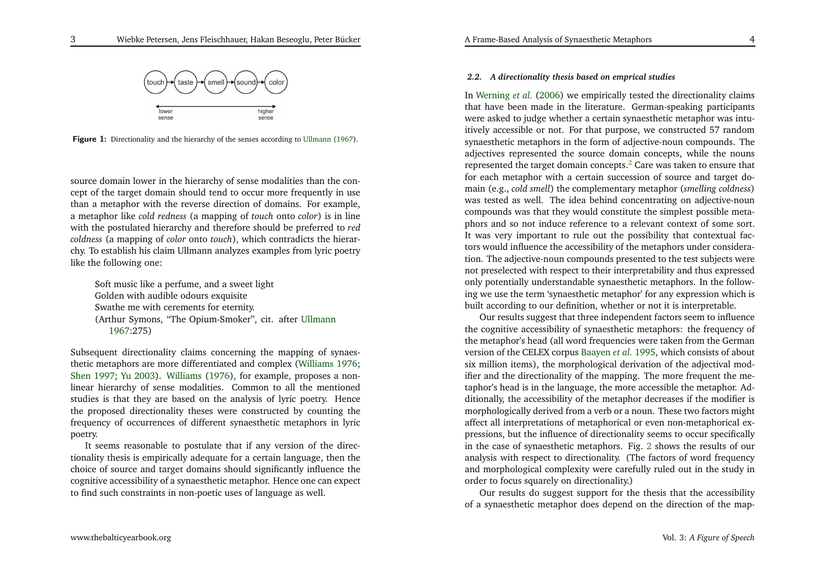

**Figure 1:** Directionality and the hierarchy of the senses according to [Ullmann](#page-11-2) [\(1967\)](#page-11-2).

source domain lower in the hierarchy of sense modalities than the concep<sup>t</sup> of the target domain should tend to occur more frequently in use than <sup>a</sup> metaphor with the reverse direction of domains. For example, <sup>a</sup> metaphor like *cold redness* (a mapping of *touch* onto *color*) is in line with the postulated hierarchy and therefore should be preferred to *red coldness* (a mapping of *color* onto *touch*), which contradicts the hierarchy. To establish his claim Ullmann analyzes examples from lyric poetrylike the following one:

Soft music like <sup>a</sup> perfume, and <sup>a</sup> sweet lightGolden with audible odours exquisite Swathe me with cerements for eternity. (Arthur Symons, "The Opium-Smoker", cit. after [Ullmann](#page-11-2)[1967](#page-11-2):275)

Subsequent directionality claims concerning the mapping of synaesthetic metaphors are more differentiated and complex [\(Williams](#page-11-3) [1976](#page-11-3); [Shen](#page-11-4) [1997](#page-11-4); [Yu](#page-11-5) [2003](#page-11-5)). [Williams](#page-11-3) [\(1976](#page-11-3)), for example, proposes <sup>a</sup> nonlinear hierarchy of sense modalities. Common to all the mentioned studies is that they are based on the analysis of lyric poetry. Hence the proposed directionality theses were constructed by counting the frequency of occurrences of different synaesthetic metaphors in lyricpoetry.

 It seems reasonable to postulate that if any version of the directionality thesis is empirically adequate for <sup>a</sup> certain language, then the choice of source and target domains should significantly influence the cognitive accessibility of <sup>a</sup> synaesthetic metaphor. Hence one can expec<sup>t</sup> to find such constraints in non-poetic uses of language as well.

#### <span id="page-3-0"></span>*2.2. <sup>A</sup> directionality thesis based on emprical studies*

<span id="page-3-1"></span>In [Werning](#page-11-6) *et al.* [\(2006](#page-11-6)) we empirically tested the directionality claims that have been made in the literature. German-speaking participants were asked to judge whether <sup>a</sup> certain synaesthetic metaphor was intuitively accessible or not. For that purpose, we constructed <sup>57</sup> random synaesthetic metaphors in the form of adjective-noun compounds. The adjectives represented the source domain concepts, while the nounsrepresented the target domain concepts.<sup>[2](#page-10-1)</sup> Care was taken to ensure that for each metaphor with <sup>a</sup> certain succession of source and target domain (e.g., *cold smell*) the complementary metaphor (*smelling coldness*) was tested as well. The idea behind concentrating on adjective-noun compounds was that they would constitute the simplest possible meta<sup>p</sup>hors and so not induce reference to <sup>a</sup> relevant context of some sort. It was very important to rule out the possibility that contextual factors would influence the accessibility of the metaphors under consideration. The adjective-noun compounds presented to the test subjects were not preselected with respec<sup>t</sup> to their interpretability and thus expressed only potentially understandable synaesthetic metaphors. In the following we use the term 'synaesthetic metaphor' for any expression which isbuilt according to our definition, whether or not it is interpretable.

Our results sugges<sup>t</sup> that three independent factors seem to influence the cognitive accessibility of synaesthetic metaphors: the frequency of the metaphor's head (all word frequencies were taken from the German version of the CELEX corpus [Baayen](#page-11-7) *et al.* [1995](#page-11-7), which consists of about six million items), the morphological derivation of the adjectival modifier and the directionality of the mapping. The more frequent the metaphor's head is in the language, the more accessible the metaphor. Additionally, the accessibility of the metaphor decreases if the modifier is morphologically derived from <sup>a</sup> verb or <sup>a</sup> noun. These two factors might affect all interpretations of metaphorical or even non-metaphorical expressions, but the influence of directionality seems to occur specifically in the case of synaesthetic metaphors. Fig. [2](#page-4-0) shows the results of our analysis with respec<sup>t</sup> to directionality. (The factors of word frequency and morphological complexity were carefully ruled out in the study inorder to focus squarely on directionality.)

 Our results do sugges<sup>t</sup> suppor<sup>t</sup> for the thesis that the accessibilityof <sup>a</sup> synaesthetic metaphor does depend on the direction of the map-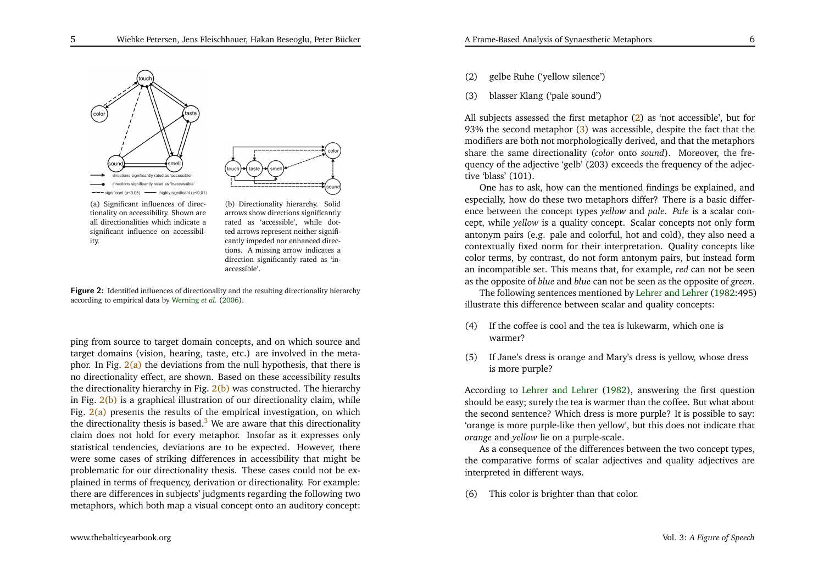



<span id="page-4-5"></span>5

<span id="page-4-6"></span><span id="page-4-0"></span>(b) Directionality hierarchy. Solid arrows show directions significantly rated as 'accessible', while dotted arrows represen<sup>t</sup> neither significantly impeded nor enhanced directions. <sup>A</sup> missing arrow indicates <sup>a</sup> direction significantly rated as 'inaccessible'.

Figure 2: Identified influences of directionality and the resulting directionality hierarchyaccording to empirical data by [Werning](#page-11-6) *et al.* [\(2006](#page-11-6)).

<sup>p</sup>ing from source to target domain concepts, and on which source and target domains (vision, hearing, taste, etc.) are involved in the meta<sup>p</sup>hor. In Fig. [2\(a\)](#page-4-1) the deviations from the null hypothesis, that there is no directionality effect, are shown. Based on these accessibility resultsthe directionality hierarchy in Fig. [2\(b\)](#page-4-2) was constructed. The hierarchy in Fig. [2\(b\)](#page-4-2) is <sup>a</sup> graphical illustration of our directionality claim, whileFig. [2\(a\)](#page-4-1) presents the results of the empirical investigation, on which the directionality thesis is based. $^3$  $^3$  We are aware that this directionality claim does not hold for every metaphor. Insofar as it expresses only statistical tendencies, deviations are to be expected. However, there were some cases of striking differences in accessibility that might be problematic for our directionality thesis. These cases could not be ex<sup>p</sup>lained in terms of frequency, derivation or directionality. For example: there are differences in subjects' judgments regarding the following twometaphors, which both map <sup>a</sup> visual concep<sup>t</sup> onto an auditory concept:

- <span id="page-4-4"></span><span id="page-4-3"></span><span id="page-4-1"></span>(2) gelbe Ruhe ('yellow silence')
- (3) blasser Klang ('pale sound')

All subjects assessed the first metaphor [\(2\)](#page-4-3) as 'not accessible', but for 93% the second metaphor [\(3\)](#page-4-4) was accessible, despite the fact that the modifiers are both not morphologically derived, and that the metaphors share the same directionality (*color* onto *sound*). Moreover, the frequency of the adjective 'gelb' (203) exceeds the frequency of the adjective 'blass' (101).

<span id="page-4-2"></span>One has to ask, how can the mentioned findings be explained, and especially, how do these two metaphors differ? There is <sup>a</sup> basic difference between the concep<sup>t</sup> types *yellow* and *pale*. *Pale* is <sup>a</sup> scalar concept, while *yellow* is <sup>a</sup> quality concept. Scalar concepts not only form antonym pairs (e.g. pale and colorful, hot and cold), they also need <sup>a</sup> contextually fixed norm for their interpretation. Quality concepts like color terms, by contrast, do not form antonym pairs, but instead form an incompatible set. This means that, for example, *red* can not be seenas the opposite of *blue* and *blue* can not be seen as the opposite of *green*.

The following sentences mentioned by [Lehrer](#page-11-9) and Lehrer [\(1982](#page-11-9):495) illustrate this difference between scalar and quality concepts:

- (4) If the coffee is cool and the tea is lukewarm, which one iswarmer?
- (5) If Jane's dress is orange and Mary's dress is yellow, whose dressis more purple?

According to [Lehrer](#page-11-9) and Lehrer [\(1982](#page-11-9)), answering the first question should be easy; surely the tea is warmer than the coffee. But what about the second sentence? Which dress is more purple? It is possible to say: 'orange is more purple-like then yellow', but this does not indicate that*orange* and *yellow* lie on <sup>a</sup> purple-scale.

As <sup>a</sup> consequence of the differences between the two concep<sup>t</sup> types, the comparative forms of scalar adjectives and quality adjectives areinterpreted in different ways.

(6) This color is brighter than that color.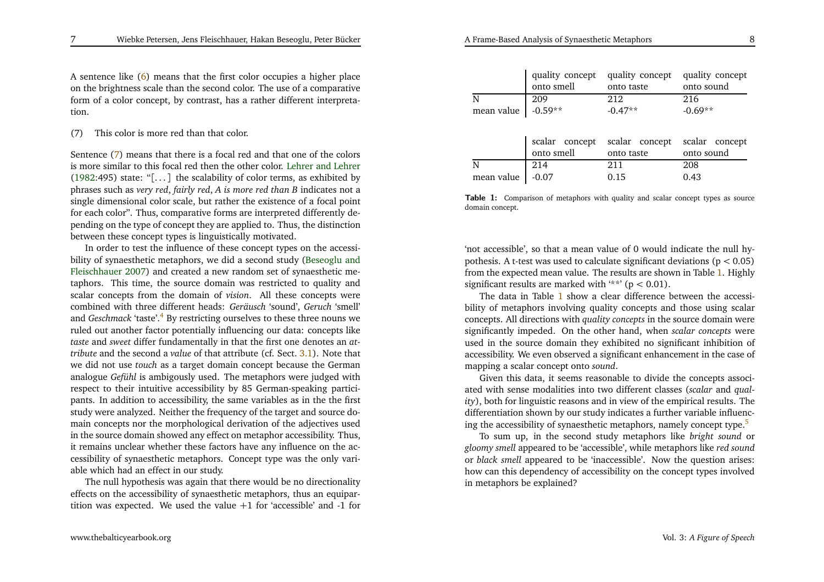<span id="page-5-0"></span><sup>A</sup> sentence like [\(6\)](#page-4-5) means that the first color occupies <sup>a</sup> higher <sup>p</sup>lace on the brightness scale than the second color. The use of <sup>a</sup> comparative form of <sup>a</sup> color concept, by contrast, has <sup>a</sup> rather different interpretation.

(7) This color is more red than that color.

Sentence [\(7\)](#page-5-1) means that there is <sup>a</sup> focal red and that one of the colors is more similar to this focal red then the other color. [Lehrer](#page-11-9) and Lehrer $(1982:495)$  $(1982:495)$  state: "[...] the scalability of color terms, as exhibited by <sup>p</sup>hrases such as *very red*, *fairly red*, *<sup>A</sup> is more red than <sup>B</sup>* indicates not <sup>a</sup> single dimensional color scale, but rather the existence of <sup>a</sup> focal point for each color". Thus, comparative forms are interpreted differently depending on the type of concep<sup>t</sup> they are applied to. Thus, the distinctionbetween these concep<sup>t</sup> types is linguistically motivated.

<span id="page-5-4"></span>In order to test the influence of these concep<sup>t</sup> types on the accessibility of synaesthetic meta[p](#page-11-10)hors[,](#page-11-10) we did <sup>a</sup> second study (Beseoglu and Fleischhauer [2007](#page-11-10)) and created <sup>a</sup> new random set of synaesthetic metaphors. This time, the source domain was restricted to quality and scalar concepts from the domain of *vision*. All these concepts were combined with three different heads: *Geräusch* 'sound', *Geruch* 'smell' and *Geschmack* 'taste'.[4](#page-11-11) By restricting ourselves to these three nouns we ruled out another factor potentially influencing our data: concepts like *taste* and *sweet* differ fundamentally in that the first one denotes an *attribute* and the second <sup>a</sup> *value* of that attribute (cf. Sect. [3.1\)](#page-6-0). Note that we did not use *touch* as <sup>a</sup> target domain concep<sup>t</sup> because the German analogue *Gefühl* is ambigously used. The metaphors were judged with respec<sup>t</sup> to their intuitive accessibility by <sup>85</sup> German-speaking participants. In addition to accessibility, the same variables as in the the first study were analyzed. Neither the frequency of the target and source domain concepts nor the morphological derivation of the adjectives used in the source domain showed any effect on metaphor accessibility. Thus, it remains unclear whether these factors have any influence on the accessibility of synaesthetic metaphors. Concept type was the only variable which had an effect in our study.

The null hypothesis was again that there would be no directionality effects on the accessibility of synaesthetic metaphors, thus an equipartition was expected. We used the value <sup>+</sup><sup>1</sup> for 'accessible' and -1 for

<span id="page-5-3"></span>

|            | quality concept<br>onto smell                                 | quality concept | quality concept              |
|------------|---------------------------------------------------------------|-----------------|------------------------------|
|            |                                                               | onto taste      | onto sound                   |
| N          | $\begin{array}{ c } \hline 209 \\ -0.59** \hline \end{array}$ | 212             | 216                          |
| mean value |                                                               | $-0.47**$       | $-0.69**$                    |
|            |                                                               |                 |                              |
|            | scalar concept scalar concept<br>onto smell onto taste        |                 | scalar concept<br>onto sound |
| N          | 214                                                           | 211             | 208                          |
| mean value | $-0.07$                                                       | 0.15            | 0.43                         |
|            |                                                               |                 |                              |

<span id="page-5-2"></span><span id="page-5-1"></span><sup>A</sup> Frame-Based Analysis of Synaesthetic Metaphors

Table 1: Comparison of metaphors with quality and scalar concep<sup>t</sup> types as sourcedomain concept.

'not accessible', so that <sup>a</sup> mean value of <sup>0</sup> would indicate the null hypothesis. <sup>A</sup> t-test was used to calculate significant deviations (p *<sup>&</sup>lt;* 0.05) from the expected mean value. The results are shown in Table [1.](#page-5-2) Highlysignificant results are marked with '\*\*' (p *<sup>&</sup>lt;* 0.01).

The data in Table [1](#page-5-2) show <sup>a</sup> clear difference between the accessibility of metaphors involving quality concepts and those using scalar concepts. All directions with *quality concepts* in the source domain were significantly impeded. On the other hand, when *scalar concepts* were used in the source domain they exhibited no significant inhibition of accessibility. We even observed <sup>a</sup> significant enhancement in the case ofmapping <sup>a</sup> scalar concep<sup>t</sup> onto *sound*.

Given this data, it seems reasonable to divide the concepts associated with sense modalities into two different classes (*scalar* and *quality*), both for linguistic reasons and in view of the empirical results. The differentiation shown by our study indicates <sup>a</sup> further variable influenc-ing the accessibility of synaesthetic metaphors, namely concept type.<sup>[5](#page-11-12)</sup>

To sum up, in the second study metaphors like *bright sound* or *gloomy smell* appeared to be 'accessible', while metaphors like *red sound* or *black smell* appeared to be 'inaccessible'. Now the question arises: how can this dependency of accessibility on the concep<sup>t</sup> types involvedin metaphors be explained?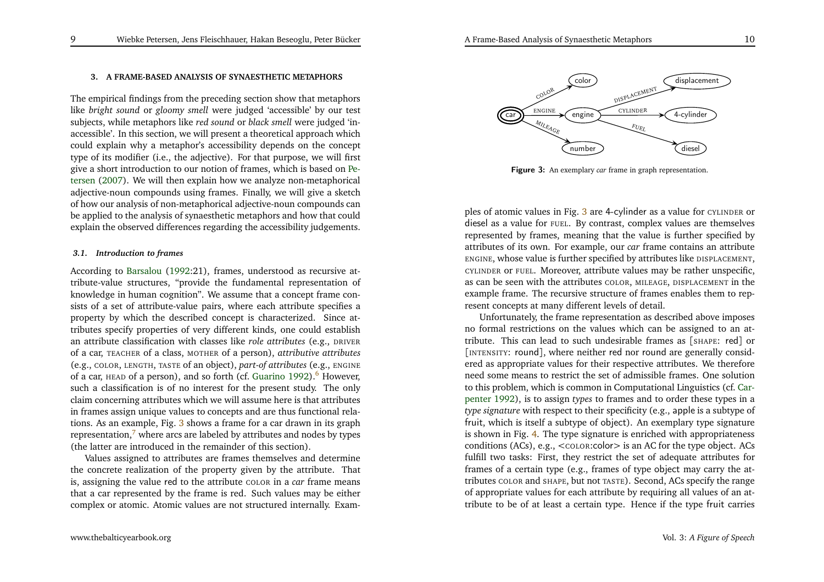#### <span id="page-6-3"></span>**3. <sup>A</sup> FRAME-BASED ANALYSIS OF SYNAESTHETIC METAPHORS**

The empirical findings from the preceding section show that metaphors like *bright sound* or *gloomy smell* were judged 'accessible' by our test subjects, while metaphors like *red sound* or *black smell* were judged 'inaccessible'. In this section, we will presen<sup>t</sup> <sup>a</sup> theoretical approach which could explain why <sup>a</sup> metaphor's accessibility depends on the concep<sup>t</sup> type of its modifier (i.e., the adjective). For that purpose, we will first <sup>g</sup>ive <sup>a</sup> short introduction to our notion of frames[,](#page-11-13) which is based on Petersen [\(2007](#page-11-13)). We will then explain how we analyze non-metaphorical adjective-noun compounds using frames. Finally, we will <sup>g</sup>ive <sup>a</sup> sketch of how our analysis of non-metaphorical adjective-noun compounds canbe applied to the analysis of synaesthetic metaphors and how that could<br>all the change of the could be a state of the could be a state of the could explain the observed differences regarding the accessibility judgements.

#### <span id="page-6-2"></span>*3.1. Introduction to frames*

9

According to [Barsalou](#page-11-14) [\(1992](#page-11-14):21), frames, understood as recursive attribute-value structures, "provide the fundamental representation of knowledge in human cognition". We assume that <sup>a</sup> concep<sup>t</sup> frame consists of <sup>a</sup> set of attribute-value pairs, where each attribute specifies <sup>a</sup> property by which the described concep<sup>t</sup> is characterized. Since attributes specify properties of very different kinds, one could establish an attribute classification with classes like *role attributes* (e.g., DRIVER of <sup>a</sup> car, TEACHER of <sup>a</sup> class, MOTHER of <sup>a</sup> person), *attributive attributes* (e.g., COLOR, LENGTH, TASTE of an object), *part-of attributes* (e.g., ENGINE of a car, HEAD of a person), and so forth (cf. [Guarino](#page-11-15) [1992\)](#page-11-15).<sup>[6](#page-11-16)</sup> However, such <sup>a</sup> classification is of no interest for the presen<sup>t</sup> study. The only claim concerning attributes which we will assume here is that attributes in frames assign unique values to concepts and are thus functional rela-tions. As an example, Fig. [3](#page-6-1) shows a frame for a car drawn in its graph representation, $^7$  $^7$  where arcs are labeled by attributes and nodes by types (the latter are introduced in the remainder of this section).

Values assigned to attributes are frames themselves and determine the concrete realization of the property <sup>g</sup>iven by the attribute. That is, assigning the value red to the attribute COLOR in <sup>a</sup> *car* frame means that <sup>a</sup> car represented by the frame is red. Such values may be eithercomplex or atomic. Atomic values are not structured internally. Exam-

<span id="page-6-1"></span><span id="page-6-0"></span>

Figure 3: An exemplary *car* frame in grap<sup>h</sup> representation.

ples of atomic values in Fig. [3](#page-6-1) are 4-cylinder as a value for CYLINDER or diesel as <sup>a</sup> value for FUEL. By contrast, complex values are themselves represented by frames, meaning that the value is further specified by attributes of its own. For example, our *car* frame contains an attribute ENGINE, whose value is further specified by attributes like DISPLACEMENT, CYLINDER or FUEL. Moreover, attribute values may be rather unspecific, as can be seen with the attributes COLOR, MILEAGE, DISPLACEMENT in the example frame. The recursive structure of frames enables them to represent concepts at many different levels of detail.

Unfortunately, the frame representation as described above imposes no formal restrictions on the values which can be assigned to an attribute. This can lead to such undesirable frames as [SHAPE: red] or [INTENSITY: round], where neither red nor round are generally considered as appropriate values for their respective attributes. We therefore need some means to restrict the set of admissible frames. One solution to this problem, which is common in Com[p](#page-11-18)utational Linguistics (cf. Carpenter [1992](#page-11-18)), is to assign *types* to frames and to order these types in <sup>a</sup> *type signature* with respec<sup>t</sup> to their specificity (e.g., apple is <sup>a</sup> subtype of fruit, which is itself <sup>a</sup> subtype of object). An exemplary type signature is shown in Fig. [4.](#page-7-0) The type signature is enriched with appropriateness conditions (ACs), e.g., *<sup>&</sup>lt;*COLOR:color*<sup>&</sup>gt;* is an AC for the type object. ACs fulfill two tasks: First, they restrict the set of adequate attributes for frames of <sup>a</sup> certain type (e.g., frames of type object may carry the attributes COLOR and SHAPE, but not TASTE). Second, ACs specify the range of appropriate values for each attribute by requiring all values of an attribute to be of at least <sup>a</sup> certain type. Hence if the type fruit carries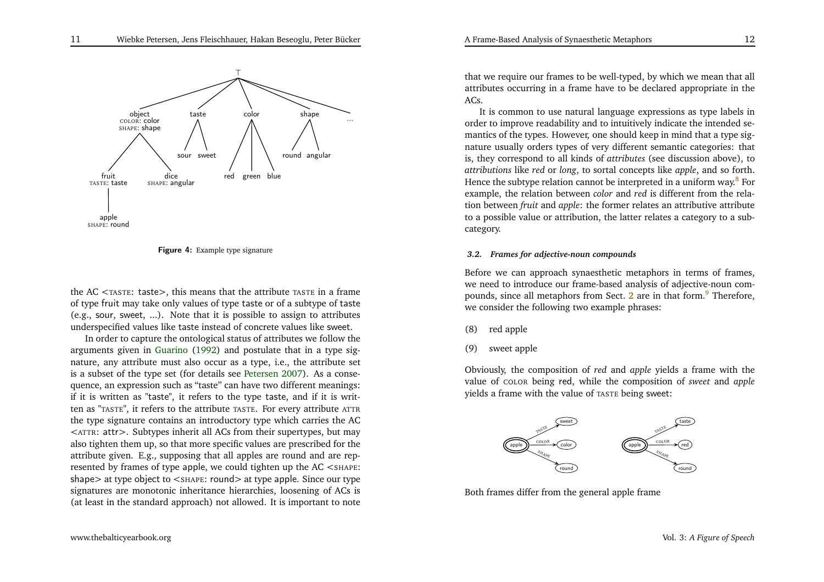

<span id="page-7-2"></span>Figure 4: Example type signature

the AC *<sup>&</sup>lt;*TASTE: taste*>*, this means that the attribute TASTE in <sup>a</sup> frame of type fruit may take only values of type taste or of <sup>a</sup> subtype of taste (e.g., sour, sweet, ...). Note that it is possible to assign to attributesunderspecified values like taste instead of concrete values like sweet.

In order to capture the ontological status of attributes we follow the arguments given in [Guarino](#page-11-15) [\(1992](#page-11-15)) and postulate that in <sup>a</sup> type signature, any attribute must also occur as <sup>a</sup> type, i.e., the attribute set is <sup>a</sup> subset of the type set (for details see [Petersen](#page-11-13) [2007](#page-11-13)). As <sup>a</sup> consequence, an expression such as "taste" can have two different meanings: if it is written as "taste", it refers to the type taste, and if it is written as "TASTE", it refers to the attribute TASTE. For every attribute ATTR the type signature contains an introductory type which carries the AC *<*ATTR: attr*>*. Subtypes inherit all ACs from their supertypes, but may also tighten them up, so that more specific values are prescribed for the attribute <sup>g</sup>iven. E.g., supposing that all apples are round and are represented by frames of type apple, we could tighten up the AC *<sup>&</sup>lt;*SHAPE: shape*>* at type object to *<sup>&</sup>lt;*SHAPE: round*<sup>&</sup>gt;* at type apple. Since our type signatures are monotonic inheritance hierarchies, loosening of ACs is(at least in the standard approach) not allowed. It is important to note

that we require our frames to be well-typed, by which we mean that allattributes occurring in <sup>a</sup> frame have to be declared appropriate in theACs.

<span id="page-7-0"></span> It is common to use natural language expressions as type labels in order to improve readability and to intuitively indicate the intended semantics of the types. However, one should keep in mind that <sup>a</sup> type signature usually orders types of very different semantic categories: that is, they correspond to all kinds of *attributes* (see discussion above), to *attributions* like *red* or *long*, to sortal concepts like *apple*, and so forth. Hence the subtype relation cannot be interpreted in a uniform way. $8$  For example, the relation between *color* and *red* is different from the relation between *fruit* and *apple*: the former relates an attributive attribute to <sup>a</sup> possible value or attribution, the latter relates <sup>a</sup> category to <sup>a</sup> subcategory.

#### *3.2. Frames for adjective-noun compounds*

<span id="page-7-1"></span>Before we can approach synaesthetic metaphors in terms of frames, we need to introduce our frame-based analysis of adjective-noun com-pounds, since all metaphors from Sect. [2](#page-2-1) are in that form.<sup>[9](#page-11-20)</sup> Therefore, we consider the following two example <sup>p</sup>hrases:

- (8) red apple
- (9) sweet apple

Obviously, the composition of *red* and *apple* <sup>y</sup>ields <sup>a</sup> frame with the value of COLOR being red, while the composition of *sweet* and *apple* <sup>y</sup>ields <sup>a</sup> frame with the value of TASTE being sweet:



Both frames differ from the general apple frame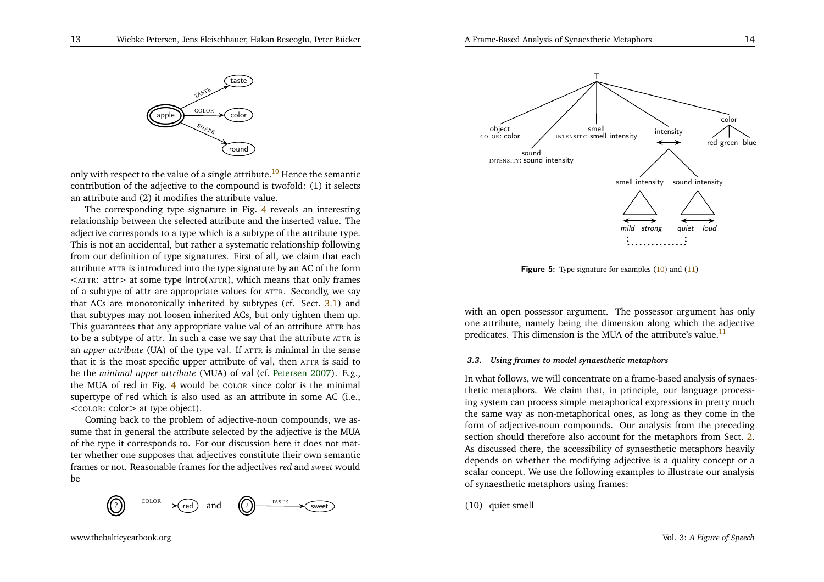<span id="page-8-0"></span>

only with respect to the value of a single attribute.<sup>[10](#page-11-21)</sup> Hence the semantic contribution of the adjective to the compound is twofold: (1) it selectsan attribute and (2) it modifies the attribute value.

<span id="page-8-3"></span>The corresponding type signature in Fig. [4](#page-7-0) reveals an interesting relationship between the selected attribute and the inserted value. The adjective corresponds to <sup>a</sup> type which is <sup>a</sup> subtype of the attribute type. This is not an accidental, but rather <sup>a</sup> systematic relationship followingfrom our definition of type signatures. First of all, we claim that each that is a structure in the form attribute ATTR is introduced into the type signature by an AC of the form *<*ATTR: attr*<sup>&</sup>gt;* at some type Intro(ATTR), which means that only frames of <sup>a</sup> subtype of attr are appropriate values for ATTR. Secondly, we say that ACs are monotonically inherited by subtypes (cf. Sect. [3.1\)](#page-6-0) and that subtypes may not loosen inherited ACs, but only tighten them up. This guarantees that any appropriate value val of an attribute ATTR has to be <sup>a</sup> subtype of attr. In such <sup>a</sup> case we say that the attribute ATTR is an *upper attribute* (UA) of the type val. If ATTR is minimal in the sense that it is the most specific upper attribute of val, then ATTR is said to be the *minimal upper attribute* (MUA) of val (cf. [Petersen](#page-11-13) [2007](#page-11-13)). E.g., the MUA of red in Fig. [4](#page-7-0) would be COLOR since color is the minimal supertype of red which is also used as an attribute in some AC (i.e., *<*COLOR: color*<sup>&</sup>gt;* at type object).

Coming back to the problem of adjective-noun compounds, we assume that in general the attribute selected by the adjective is the MUA of the type it corresponds to. For our discussion here it does not matter whether one supposes that adjectives constitute their own semantic frames or not. Reasonable frames for the adjectives *red* and *sweet* would be





<span id="page-8-1"></span>

**Figure 5:** Type signature for examples [\(10\)](#page-8-0) and [\(11\)](#page-9-0)

<span id="page-8-2"></span>with an open possessor argument. The possessor argumen<sup>t</sup> has only one attribute, namely being the dimension along which the adjectivepredicates. This dimension is the MUA of the attribute's value. $11$ 

#### *3.3. Using frames to model synaesthetic metaphors*

<sup>A</sup> Frame-Based Analysis of Synaesthetic Metaphors

In what follows, we will concentrate on <sup>a</sup> frame-based analysis of synaesthetic metaphors. We claim that, in principle, our language processing system can process simple metaphorical expressions in pretty much the same way as non-metaphorical ones, as long as they come in the form of adjective-noun compounds. Our analysis from the precedingsection should therefore also account for the metaphors from Sect. [2.](#page-2-1) As discussed there, the accessibility of synaesthetic metaphors heavily depends on whether the modifying adjective is <sup>a</sup> quality concep<sup>t</sup> or <sup>a</sup> scalar concept. We use the following examples to illustrate our analysis of synaesthetic metaphors using frames:

(10) quiet smell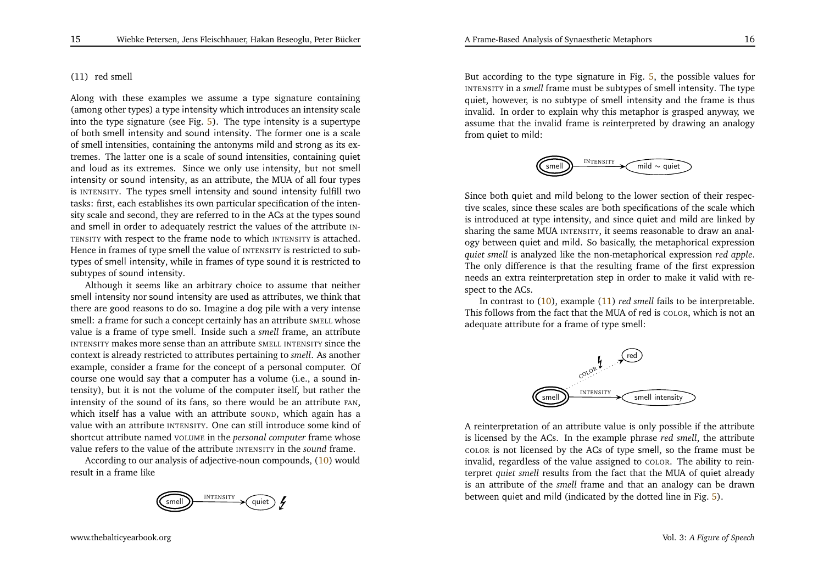#### (11) red smell

Along with these examples we assume <sup>a</sup> type signature containing (among other types) <sup>a</sup> type intensity which introduces an intensity scale into the type signature (see Fig. [5\)](#page-8-1). The type intensity is <sup>a</sup> supertype of both smell intensity and sound intensity. The former one is <sup>a</sup> scale of smell intensities, containing the antonyms mild and strong as its extremes. The latter one is <sup>a</sup> scale of sound intensities, containing quiet and loud as its extremes. Since we only use intensity, but not smell intensity or sound intensity, as an attribute, the MUA of all four types is INTENSITY. The types smell intensity and sound intensity fulfill two tasks: first, each establishes its own particular specification of the intensity scale and second, they are referred to in the ACs at the types sound and smell in order to adequately restrict the values of the attribute IN- TENSITY with respec<sup>t</sup> to the frame node to which INTENSITY is attached. Hence in frames of type smell the value of INTENSITY is restricted to subtypes of smell intensity, while in frames of type sound it is restricted to subtypes of sound intensity.

Although it seems like an arbitrary choice to assume that neither smell intensity nor sound intensity are used as attributes, we think that there are good reasons to do so. Imagine <sup>a</sup> dog <sup>p</sup>ile with <sup>a</sup> very intense smell: <sup>a</sup> frame for such <sup>a</sup> concep<sup>t</sup> certainly has an attribute SMELL whose value is <sup>a</sup> frame of type smell. Inside such <sup>a</sup> *smell* frame, an attribute INTENSITY makes more sense than an attribute SMELL INTENSITY since the context is already restricted to attributes pertaining to *smell*. As another example, consider <sup>a</sup> frame for the concep<sup>t</sup> of <sup>a</sup> personal computer. Of course one would say that <sup>a</sup> computer has <sup>a</sup> volume (i.e., <sup>a</sup> sound intensity), but it is not the volume of the computer itself, but rather the intensity of the sound of its fans, so there would be an attribute FAN, which itself has a value with an attribute sounp, which again has a value with an attribute INTENSITY. One can still introduce some kind of shortcut attribute named VOLUME in the *personal computer* frame whose value refers to the value of the attribute INTENSITY in the *sound* frame.

According to our analysis of adjective-noun compounds, [\(10\)](#page-8-0) wouldresult in <sup>a</sup> frame like



<span id="page-9-0"></span>But according to the type signature in Fig. [5,](#page-8-1) the possible values for INTENSITY in <sup>a</sup> *smell* frame must be subtypes of smell intensity. The type quiet, however, is no subtype of smell intensity and the frame is thus invalid. In order to explain why this metaphor is grasped anyway, we assume that the invalid frame is *re*interpreted by drawing an analogyfrom quiet to mild:

$$
\underbrace{\text{Smell}}\text{INTENSITY}\xrightarrow{\text{mild}}\text{mild}\sim\text{quiet}
$$

Since both quiet and mild belong to the lower section of their respective scales, since these scales are both specifications of the scale which is introduced at type intensity, and since quiet and mild are linked by sharing the same MUA INTENSITY, it seems reasonable to draw an analogy between quiet and mild. So basically, the metaphorical expression *quiet smell* is analyzed like the non-metaphorical expression *red apple*. The only difference is that the resulting frame of the first expression needs an extra reinterpretation step in order to make it valid with respec<sup>t</sup> to the ACs.

In contrast to [\(10\)](#page-8-0), example [\(11\)](#page-9-0) *red smell* fails to be interpretable. This follows from the fact that the MUA of red is COLOR, which is not anadequate attribute for <sup>a</sup> frame of type smell:



<sup>A</sup> reinterpretation of an attribute value is only possible if the attribute is licensed by the ACs. In the example <sup>p</sup>hrase *red smell*, the attribute COLOR is not licensed by the ACs of type smell, so the frame must be invalid, regardless of the value assigned to COLOR. The ability to reinterpret *quiet smell* results from the fact that the MUA of quiet already is an attribute of the *smell* frame and that an analogy can be drawnbetween quiet and mild (indicated by the dotted line in Fig. [5\)](#page-8-1).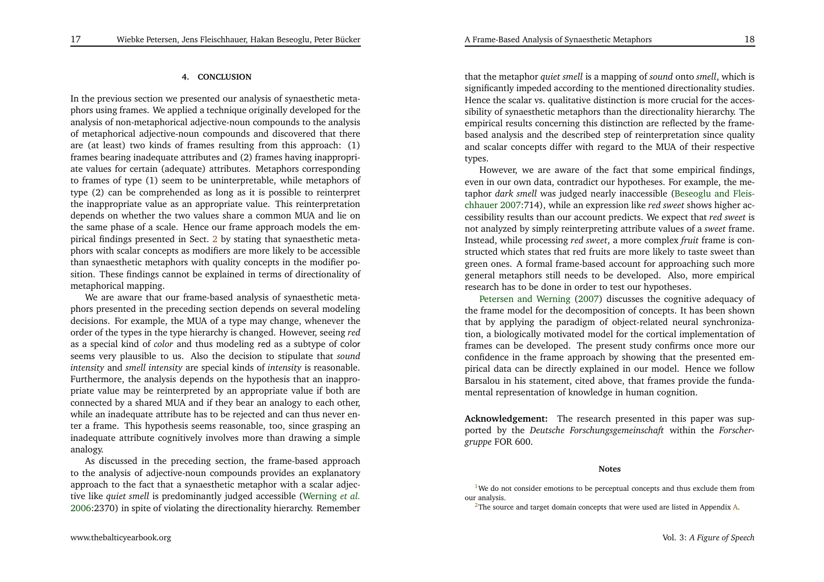#### **4. CONCLUSION**

<span id="page-10-0"></span>In the previous section we presented our analysis of synaesthetic meta<sup>p</sup>hors using frames. We applied <sup>a</sup> technique originally developed for the analysis of non-metaphorical adjective-noun compounds to the analysis of metaphorical adjective-noun compounds and discovered that there are (at least) two kinds of frames resulting from this approach: (1) frames bearing inadequate attributes and (2) frames having inappropriate values for certain (adequate) attributes. Metaphors corresponding to frames of type (1) seem to be uninterpretable, while metaphors of type (2) can be comprehended as long as it is possible to reinterpret the inappropriate value as an appropriate value. This reinterpretation depends on whether the two values share <sup>a</sup> common MUA and lie on the same <sup>p</sup>hase of <sup>a</sup> scale. Hence our frame approach models the em<sup>p</sup>irical findings presented in Sect. [2](#page-2-1) by stating that synaesthetic meta<sup>p</sup>hors with scalar concepts as modifiers are more likely to be accessible than synaesthetic metaphors with quality concepts in the modifier position. These findings cannot be explained in terms of directionality ofmetaphorical mapping.

<span id="page-10-1"></span>We are aware that our frame-based analysis of synaesthetic meta<sup>p</sup>hors presented in the preceding section depends on several modeling decisions. For example, the MUA of <sup>a</sup> type may change, whenever the order of the types in the type hierarchy is changed. However, seeing *red* as <sup>a</sup> special kind of *color* and thus modeling red as <sup>a</sup> subtype of color seems very <sup>p</sup>lausible to us. Also the decision to stipulate that *sound intensity* and *smell intensity* are special kinds of *intensity* is reasonable. Furthermore, the analysis depends on the hypothesis that an inappropriate value may be reinterpreted by an appropriate value if both are connected by <sup>a</sup> shared MUA and if they bear an analogy to each other, while an inadequate attribute has to be rejected and can thus never enter <sup>a</sup> frame. This hypothesis seems reasonable, too, since grasping an inadequate attribute cognitively involves more than drawing <sup>a</sup> simpleanalogy.

 As discussed in the preceding section, the frame-based approach to the analysis of adjective-noun compounds provides an explanatory approach to the fact that <sup>a</sup> synaesthetic metaphor with <sup>a</sup> scalar adjective like *quiet smell* is predominantly judged accessible [\(Werning](#page-11-6) *et al.* [2006](#page-11-6):2370) in spite of violating the directionality hierarchy. Remember

that the metaphor *quiet smell* is <sup>a</sup> mapping of *sound* onto *smell*, which is significantly impeded according to the mentioned directionality studies. Hence the scalar vs. qualitative distinction is more crucial for the accessibility of synaesthetic metaphors than the directionality hierarchy. The empirical results concerning this distinction are reflected by the framebased analysis and the described step of reinterpretation since quality and scalar concepts differ with regard to the MUA of their respectivetypes.

 However, we are aware of the fact that some empirical findings, even in our own data, contradict our hypotheses. For example, the metaphor *dark smell* was [j](#page-11-10)ud[g](#page-11-10)ed nearly inaccessible (Beseoglu and Fleischhauer [2007](#page-11-10):714), while an expression like *red sweet* shows higher accessibility results than our account predicts. We expec<sup>t</sup> that *red sweet* is not analyzed by simply reinterpreting attribute values of <sup>a</sup> *sweet* frame. Instead, while processing *red sweet*, <sup>a</sup> more complex *fruit* frame is constructed which states that red fruits are more likely to taste sweet than green ones. <sup>A</sup> formal frame-based account for approaching such more general metaphors still needs to be developed. Also, more empiricalresearchhas to be done in order to test our hypotheses.

Petersen and Werning [\(2007](#page-11-23)) discusses the cognitive adequacy of the frame model for the decomposition of concepts. It has been shown that by applying the paradigm of object-related neural synchronization, <sup>a</sup> biologically motivated model for the cortical implementation of frames can be developed. The presen<sup>t</sup> study confirms once more our confidence in the frame approach by showing that the presented em<sup>p</sup>irical data can be directly explained in our model. Hence we follow Barsalou in his statement, cited above, that frames provide the fundamental representation of knowledge in human cognition.

**Acknowledgement:** The research presented in this paper was supported by the *Deutsche Forschungsgemeinschaft* within the *Forschergruppe* FOR 600.

#### **Notes**

 $1$ We do not consider emotions to be perceptual concepts and thus exclude them from our analysis.

 $^{2}$  $^{2}$  $^{2}$ The source and target domain concepts that were used are listed in Appendix [A.](#page-11-24)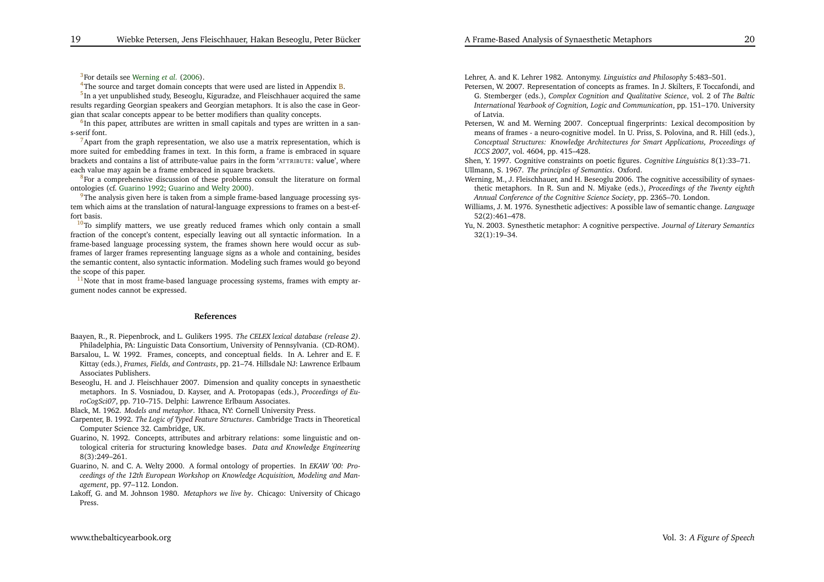### <span id="page-11-25"></span><span id="page-11-18"></span><span id="page-11-15"></span><span id="page-11-14"></span><span id="page-11-10"></span><span id="page-11-7"></span><span id="page-11-1"></span><span id="page-11-0"></span>[3](#page-4-6)For details see [Werning](#page-11-6) *et al.* [\(2006\)](#page-11-6).

 $\frac{4}{5}$  $\frac{4}{5}$  $\frac{4}{5}$ The source and target domain concepts that were used are listed in Appendix [B.](#page-12-1)

<sup>[5](#page-5-4)</sup>In a yet unpublished study, Beseoglu, Kiguradze, and Fleischhauer acquired the same results regarding Georgian speakers and Georgian metaphors. It is also the case in Geor<sup>g</sup>ian that scalar concepts appear to be better modifiers than quality concepts.

 $<sup>6</sup>$  $<sup>6</sup>$  $<sup>6</sup>$ In this paper, attributes are written in small capitals and types are written in a san-</sup> s-serif font.

 $\sqrt{7}$  $\sqrt{7}$  $\sqrt{7}$ Apart from the graph representation, we also use a matrix representation. which is more suited for embedding frames in text. In this form, <sup>a</sup> frame is embraced in square brackets and contains <sup>a</sup> list of attribute-value pairs in the form 'ATTRIBUTE: value', where each value may again be <sup>a</sup> frame embraced in square brackets.

 $8$ For a comprehensive discussion of these problems consult the literature on formal ontologies (cf. [Guarino](#page-11-15) [1992](#page-11-15); [Guarino](#page-11-25) and Welty [2000](#page-11-25)).

 $9$ The analysis given here is taken from a simple frame-based language processing system which aims at the translation of natural-language expressions to frames on <sup>a</sup> best-effort basis.

 $10$ To simplify matters, we use greatly reduced frames which only contain a small fraction of the concept's content, especially leaving out all syntactic information. In <sup>a</sup> frame-based language processing system, the frames shown here would occur as subframes of larger frames representing language signs as <sup>a</sup> whole and containing, besides the semantic content, also syntactic information. Modeling such frames would go beyondthe scope of this paper.

 $11$ Note that in most frame-based language processing systems, frames with empty argumen<sup>t</sup> nodes cannot be expressed.

#### **References**

- Baayen, R., R. Piepenbrock, and L. Gulikers 1995. *The CELEX lexical database (release 2)*. Philadelphia, PA: Linguistic Data Consortium, University of Pennsylvania. (CD-ROM).
- Barsalou, L. W. 1992. Frames, concepts, and conceptual fields. In A. Lehrer and E. F. Kittay (eds.), *Frames, Fields, and Contrasts*, pp. 21–74. Hillsdale NJ: Lawrence ErlbaumAssociates Publishers.
- Beseoglu, H. and J. Fleischhauer 2007. Dimension and quality concepts in synaesthetic metaphors. In S. Vosniadou, D. Kayser, and A. Protopapas (eds.), *Proceedings of EuroCogSci07*, pp. 710–715. Delphi: Lawrence Erlbaum Associates.
- Black, M. 1962. *Models and metaphor*. Ithaca, NY: Cornell University Press.
- Carpenter, B. 1992. *The Logic of Typed Feature Structures*. Cambridge Tracts in TheoreticalComputer Science 32. Cambridge, UK.
- Guarino, N. 1992. Concepts, attributes and arbitrary relations: some linguistic and ontological criteria for structuring knowledge bases. *Data and Knowledge Engineering*8(3):249–261.
- Guarino, N. and C. A. Welty 2000. <sup>A</sup> formal ontology of properties. In *EKAW '00: Pro*ceedings of the 12th European Workshop on Knowledge Acquisition, Modeling and Man*agement*, pp. 97–112. London.
- Lakoff, G. and M. Johnson 1980. *Metaphors we live by*. Chicago: University of ChicagoPress.

<span id="page-11-24"></span><span id="page-11-23"></span><span id="page-11-22"></span><span id="page-11-21"></span><span id="page-11-20"></span><span id="page-11-17"></span><span id="page-11-16"></span><span id="page-11-13"></span><span id="page-11-12"></span><span id="page-11-9"></span><span id="page-11-6"></span><span id="page-11-5"></span><span id="page-11-4"></span><span id="page-11-3"></span><span id="page-11-2"></span>Lehrer, A. and K. Lehrer 1982. Antonymy. *Linguistics and Philosophy* 5:483–501.

- Petersen, W. 2007. Representation of concepts as frames. In J. Skilters, F. Toccafondi, and G. Stemberger (eds.), *Complex Cognition and Qualitative Science*, vol. <sup>2</sup> of *The Baltic International Yearbook of Cognition, Logic and Communication*, pp. 151–170. Universityof Latvia.
- <span id="page-11-8"></span>Petersen, W. and M. Werning 2007. Conceptual fingerprints: Lexical decomposition by means of frames - <sup>a</sup> neuro-cognitive model. In U. Priss, S. Polovina, and R. Hill (eds.), *Conceptual Structures: Knowledge Architectures for Smart Applications, Proceedings of ICCS 2007*, vol. 4604, pp. 415–428.
- <span id="page-11-19"></span>Shen, Y. 1997. Cognitive constraints on poetic figures. *Cognitive Linguistics* 8(1):33–71. Ullmann, S. 1967. *The principles of Semantics*. Oxford.
- Werning, M., J. Fleischhauer, and H. Beseoglu 2006. The cognitive accessibility of synaesthetic metaphors. In R. Sun and N. Miyake (eds.), *Proceedings of the Twenty eighthAnnual Conference of the Cognitive Science Society*, pp. 2365–70. London.
- Williams, J. M. 1976. Synesthetic adjectives: <sup>A</sup> possible law of semantic change. *Language*52(2):461–478.
- <span id="page-11-11"></span> Yu, N. 2003. Synesthetic metaphor: <sup>A</sup> cognitive perspective. *Journal of Literary Semantics*32(1):19–34.